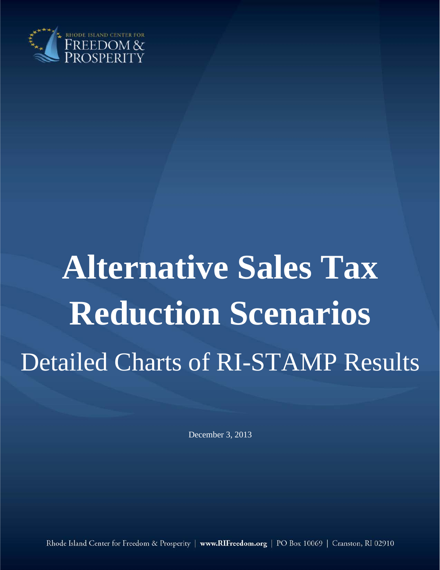

# **Alternative Sales Tax Reduction Scenarios** Detailed Charts of RI-STAMP Results

December 3, 2013

Rhode Island Center for Freedom & Prosperity | www.RIFreedom.org | PO Box 10069 | Cranston, RI 02910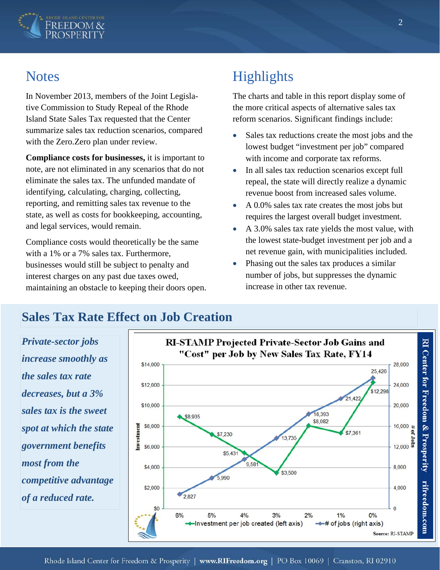

#### **Notes**

In November 2013, members of the Joint Legislative Commission to Study Repeal of the Rhode Island State Sales Tax requested that the Center summarize sales tax reduction scenarios, compared with the Zero.Zero plan under review.

**Compliance costs for businesses,** it is important to note, are not eliminated in any scenarios that do not eliminate the sales tax. The unfunded mandate of identifying, calculating, charging, collecting, reporting, and remitting sales tax revenue to the state, as well as costs for bookkeeping, accounting, and legal services, would remain.

Compliance costs would theoretically be the same with a 1% or a 7% sales tax. Furthermore, businesses would still be subject to penalty and interest charges on any past due taxes owed, maintaining an obstacle to keeping their doors open.

## **Highlights**

The charts and table in this report display some of the more critical aspects of alternative sales tax reform scenarios. Significant findings include:

- Sales tax reductions create the most jobs and the lowest budget "investment per job" compared with income and corporate tax reforms.
- In all sales tax reduction scenarios except full repeal, the state will directly realize a dynamic revenue boost from increased sales volume.
- A 0.0% sales tax rate creates the most jobs but requires the largest overall budget investment.
- A 3.0% sales tax rate yields the most value, with the lowest state-budget investment per job and a net revenue gain, with municipalities included.
- Phasing out the sales tax produces a similar number of jobs, but suppresses the dynamic increase in other tax revenue.

### **Sales Tax Rate Effect on Job Creation**

*Private-sector jobs increase smoothly as the sales tax rate decreases, but a 3% sales tax is the sweet spot at which the state government benefits most from the competitive advantage of a reduced rate.*

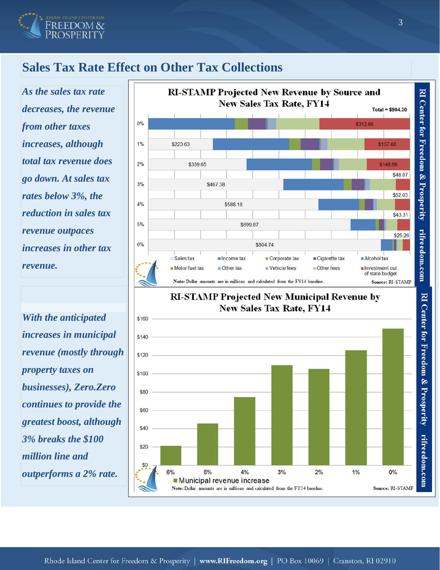

#### **Sales Tax Rate Effect on Other Tax Collections**

*As the sales tax rate decreases, the revenue from other taxes increases, although total tax revenue does go down. At sales tax rates below 3%, the reduction in sales tax revenue outpaces increases in other tax revenue.*

*With the anticipated increases in municipal revenue (mostly through property taxes on businesses), Zero.Zero continues to provide the greatest boost, although 3% breaks the \$100 million line and outperforms a 2% rate.*



#### **RI-STAMP Projected New Municipal Revenue by New Sales Tax Rate, FY14**

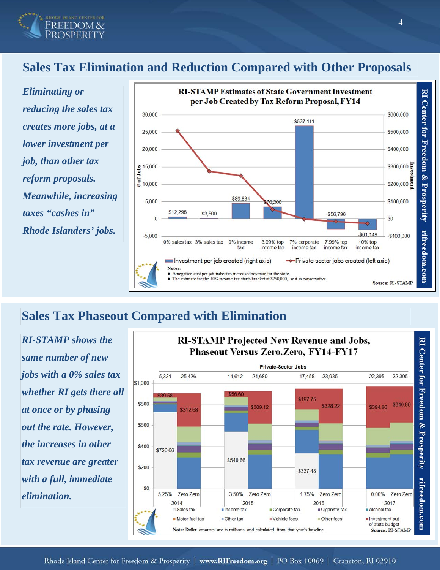

#### **Sales Tax Elimination and Reduction Compared with Other Proposals**

*Eliminating or reducing the sales tax creates more jobs, at a lower investment per job, than other tax reform proposals. Meanwhile, increasing taxes "cashes in" Rhode Islanders' jobs.*



#### **Sales Tax Phaseout Compared with Elimination**

*RI-STAMP shows the same number of new jobs with a 0% sales tax whether RI gets there all at once or by phasing out the rate. However, the increases in other tax revenue are greater with a full, immediate elimination.*